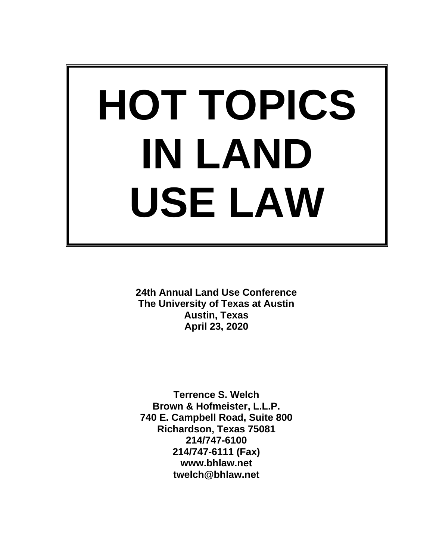# **HOT TOPICS IN LAND USE LAW**

**24th Annual Land Use Conference The University of Texas at Austin Austin, Texas April 23, 2020**

**Terrence S. Welch Brown & Hofmeister, L.L.P. 740 E. Campbell Road, Suite 800 Richardson, Texas 75081 214/747-6100 214/747-6111 (Fax) www.bhlaw.net twelch@bhlaw.net**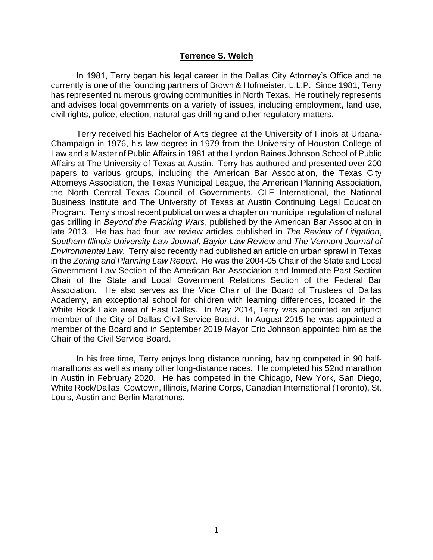#### **Terrence S. Welch**

In 1981, Terry began his legal career in the Dallas City Attorney's Office and he currently is one of the founding partners of Brown & Hofmeister, L.L.P. Since 1981, Terry has represented numerous growing communities in North Texas. He routinely represents and advises local governments on a variety of issues, including employment, land use, civil rights, police, election, natural gas drilling and other regulatory matters.

Terry received his Bachelor of Arts degree at the University of Illinois at Urbana-Champaign in 1976, his law degree in 1979 from the University of Houston College of Law and a Master of Public Affairs in 1981 at the Lyndon Baines Johnson School of Public Affairs at The University of Texas at Austin. Terry has authored and presented over 200 papers to various groups, including the American Bar Association, the Texas City Attorneys Association, the Texas Municipal League, the American Planning Association, the North Central Texas Council of Governments, CLE International, the National Business Institute and The University of Texas at Austin Continuing Legal Education Program. Terry's most recent publication was a chapter on municipal regulation of natural gas drilling in *Beyond the Fracking Wars*, published by the American Bar Association in late 2013. He has had four law review articles published in *The Review of Litigation*, *Southern Illinois University Law Journal*, *Baylor Law Review* and *The Vermont Journal of Environmental Law*. Terry also recently had published an article on urban sprawl in Texas in the *Zoning and Planning Law Report*. He was the 2004-05 Chair of the State and Local Government Law Section of the American Bar Association and Immediate Past Section Chair of the State and Local Government Relations Section of the Federal Bar Association. He also serves as the Vice Chair of the Board of Trustees of Dallas Academy, an exceptional school for children with learning differences, located in the White Rock Lake area of East Dallas. In May 2014, Terry was appointed an adjunct member of the City of Dallas Civil Service Board. In August 2015 he was appointed a member of the Board and in September 2019 Mayor Eric Johnson appointed him as the Chair of the Civil Service Board.

In his free time, Terry enjoys long distance running, having competed in 90 halfmarathons as well as many other long-distance races. He completed his 52nd marathon in Austin in February 2020. He has competed in the Chicago, New York, San Diego, White Rock/Dallas, Cowtown, Illinois, Marine Corps, Canadian International (Toronto), St. Louis, Austin and Berlin Marathons.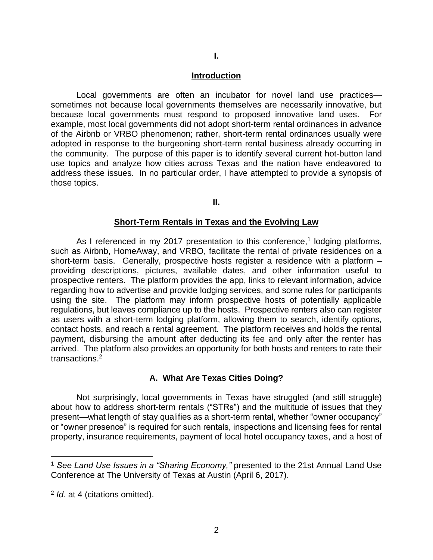#### **Introduction**

Local governments are often an incubator for novel land use practices sometimes not because local governments themselves are necessarily innovative, but because local governments must respond to proposed innovative land uses. For example, most local governments did not adopt short-term rental ordinances in advance of the Airbnb or VRBO phenomenon; rather, short-term rental ordinances usually were adopted in response to the burgeoning short-term rental business already occurring in the community. The purpose of this paper is to identify several current hot-button land use topics and analyze how cities across Texas and the nation have endeavored to address these issues. In no particular order, I have attempted to provide a synopsis of those topics.

**II.**

#### **Short-Term Rentals in Texas and the Evolving Law**

As I referenced in my 2017 presentation to this conference,<sup>1</sup> lodging platforms, such as Airbnb, HomeAway, and VRBO, facilitate the rental of private residences on a short-term basis. Generally, prospective hosts register a residence with a platform – providing descriptions, pictures, available dates, and other information useful to prospective renters. The platform provides the app, links to relevant information, advice regarding how to advertise and provide lodging services, and some rules for participants using the site. The platform may inform prospective hosts of potentially applicable regulations, but leaves compliance up to the hosts. Prospective renters also can register as users with a short-term lodging platform, allowing them to search, identify options, contact hosts, and reach a rental agreement. The platform receives and holds the rental payment, disbursing the amount after deducting its fee and only after the renter has arrived. The platform also provides an opportunity for both hosts and renters to rate their transactions.<sup>2</sup>

#### **A. What Are Texas Cities Doing?**

Not surprisingly, local governments in Texas have struggled (and still struggle) about how to address short-term rentals ("STRs") and the multitude of issues that they present—what length of stay qualifies as a short-term rental, whether "owner occupancy" or "owner presence" is required for such rentals, inspections and licensing fees for rental property, insurance requirements, payment of local hotel occupancy taxes, and a host of

<sup>1</sup> *See Land Use Issues in a "Sharing Economy,"* presented to the 21st Annual Land Use Conference at The University of Texas at Austin (April 6, 2017).

<sup>2</sup> *Id*. at 4 (citations omitted).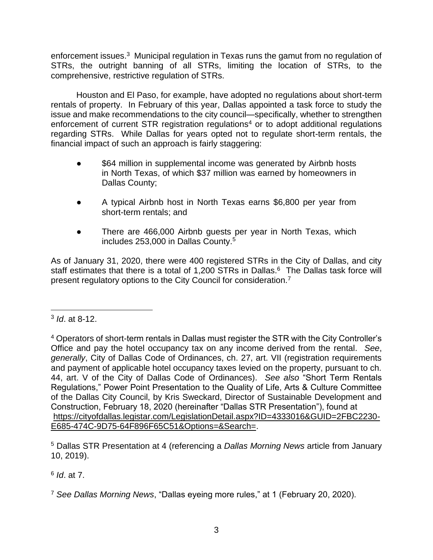enforcement issues.<sup>3</sup> Municipal regulation in Texas runs the gamut from no regulation of STRs, the outright banning of all STRs, limiting the location of STRs, to the comprehensive, restrictive regulation of STRs.

Houston and El Paso, for example, have adopted no regulations about short-term rentals of property. In February of this year, Dallas appointed a task force to study the issue and make recommendations to the city council—specifically, whether to strengthen enforcement of current STR registration regulations<sup>4</sup> or to adopt additional regulations regarding STRs. While Dallas for years opted not to regulate short-term rentals, the financial impact of such an approach is fairly staggering:

- \$64 million in supplemental income was generated by Airbnb hosts in North Texas, of which \$37 million was earned by homeowners in Dallas County;
- A typical Airbnb host in North Texas earns \$6,800 per year from short-term rentals; and
- There are 466,000 Airbnb guests per year in North Texas, which includes 253,000 in Dallas County.<sup>5</sup>

As of January 31, 2020, there were 400 registered STRs in the City of Dallas, and city staff estimates that there is a total of 1,200 STRs in Dallas.<sup>6</sup> The Dallas task force will present regulatory options to the City Council for consideration.<sup>7</sup>

<sup>5</sup> Dallas STR Presentation at 4 (referencing a *Dallas Morning News* article from January 10, 2019).

6 *Id*. at 7.

<sup>7</sup> *See Dallas Morning News*, "Dallas eyeing more rules," at 1 (February 20, 2020).

<sup>3</sup> *Id*. at 8-12.

<sup>4</sup> Operators of short-term rentals in Dallas must register the STR with the City Controller's Office and pay the hotel occupancy tax on any income derived from the rental. *See*, *generally*, City of Dallas Code of Ordinances, ch. 27, art. VII (registration requirements and payment of applicable hotel occupancy taxes levied on the property, pursuant to ch. 44, art. V of the City of Dallas Code of Ordinances). *See also* "Short Term Rentals Regulations," Power Point Presentation to the Quality of Life, Arts & Culture Committee of the Dallas City Council, by Kris Sweckard, Director of Sustainable Development and Construction, February 18, 2020 (hereinafter "Dallas STR Presentation"), found at [https://cityofdallas.legistar.com/LegislationDetail.aspx?ID=4333016&GUID=2FBC2230-](https://cityofdallas.legistar.com/LegislationDetail.aspx?ID=4333016&GUID=2FBC2230-E685-474C-9D75-64F896F65C51&Options=&Search=) [E685-474C-9D75-64F896F65C51&Options=&Search=.](https://cityofdallas.legistar.com/LegislationDetail.aspx?ID=4333016&GUID=2FBC2230-E685-474C-9D75-64F896F65C51&Options=&Search=)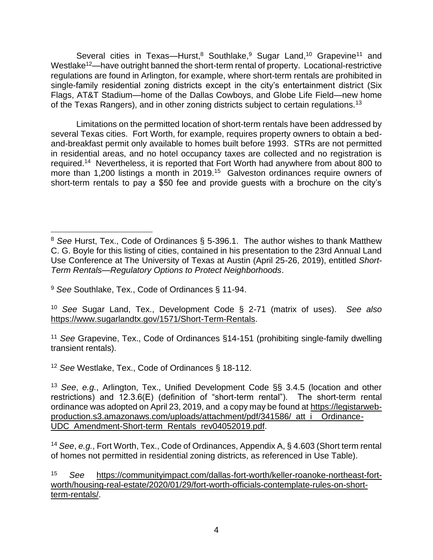Several cities in Texas—Hurst,<sup>8</sup> Southlake,<sup>9</sup> Sugar Land,<sup>10</sup> Grapevine<sup>11</sup> and Westlake<sup>12</sup>—have outright banned the short-term rental of property. Locational-restrictive regulations are found in Arlington, for example, where short-term rentals are prohibited in single-family residential zoning districts except in the city's entertainment district (Six Flags, AT&T Stadium—home of the Dallas Cowboys, and Globe Life Field—new home of the Texas Rangers), and in other zoning districts subject to certain regulations.<sup>13</sup>

Limitations on the permitted location of short-term rentals have been addressed by several Texas cities. Fort Worth, for example, requires property owners to obtain a bedand-breakfast permit only available to homes built before 1993. STRs are not permitted in residential areas, and no hotel occupancy taxes are collected and no registration is required.<sup>14</sup> Nevertheless, it is reported that Fort Worth had anywhere from about 800 to more than 1,200 listings a month in 2019.<sup>15</sup> Galveston ordinances require owners of short-term rentals to pay a \$50 fee and provide quests with a brochure on the city's

<sup>10</sup> *See* Sugar Land, Tex., Development Code § 2-71 (matrix of uses). *See also* [https://www.sugarlandtx.gov/1571/Short-Term-Rentals.](https://www.sugarlandtx.gov/1571/Short-Term-Rentals)

<sup>11</sup> *See* Grapevine, Tex., Code of Ordinances §14-151 (prohibiting single-family dwelling transient rentals).

<sup>12</sup> *See* Westlake, Tex., Code of Ordinances § 18-112.

<sup>8</sup> *See* Hurst, Tex., Code of Ordinances § 5-396.1. The author wishes to thank Matthew C. G. Boyle for this listing of cities, contained in his presentation to the 23rd Annual Land Use Conference at The University of Texas at Austin (April 25-26, 2019), entitled *Short-Term Rentals—Regulatory Options to Protect Neighborhoods*.

<sup>9</sup> *See* Southlake, Tex., Code of Ordinances § 11-94.

<sup>13</sup> *See*, *e.g.*, Arlington, Tex., Unified Development Code §§ 3.4.5 (location and other restrictions) and 12.3.6(E) (definition of "short-term rental"). The short-term rental ordinance was adopted on April 23, 2019, and a copy may be found at [https://legistarweb](https://legistarweb-production.s3.amazonaws.com/uploads/attachment/pdf/341586/_att_i__Ordinance-UDC_Amendment-Short-term_Rentals_rev04052019.pdf)[production.s3.amazonaws.com/uploads/attachment/pdf/341586/\\_att\\_i\\_\\_Ordinance-](https://legistarweb-production.s3.amazonaws.com/uploads/attachment/pdf/341586/_att_i__Ordinance-UDC_Amendment-Short-term_Rentals_rev04052019.pdf)[UDC\\_Amendment-Short-term\\_Rentals\\_rev04052019.pdf.](https://legistarweb-production.s3.amazonaws.com/uploads/attachment/pdf/341586/_att_i__Ordinance-UDC_Amendment-Short-term_Rentals_rev04052019.pdf)

<sup>14</sup> *See*, *e.g.*, Fort Worth, Tex., Code of Ordinances, Appendix A, § 4.603 (Short term rental of homes not permitted in residential zoning districts, as referenced in Use Table).

<sup>15</sup> *See* [https://communityimpact.com/dallas-fort-worth/keller-roanoke-northeast-fort](https://communityimpact.com/dallas-fort-worth/keller-roanoke-northeast-fort-worth/housing-real-estate/2020/01/29/fort-worth-officials-contemplate-rules-on-short-term-rentals/)[worth/housing-real-estate/2020/01/29/fort-worth-officials-contemplate-rules-on-short](https://communityimpact.com/dallas-fort-worth/keller-roanoke-northeast-fort-worth/housing-real-estate/2020/01/29/fort-worth-officials-contemplate-rules-on-short-term-rentals/)[term-rentals/.](https://communityimpact.com/dallas-fort-worth/keller-roanoke-northeast-fort-worth/housing-real-estate/2020/01/29/fort-worth-officials-contemplate-rules-on-short-term-rentals/)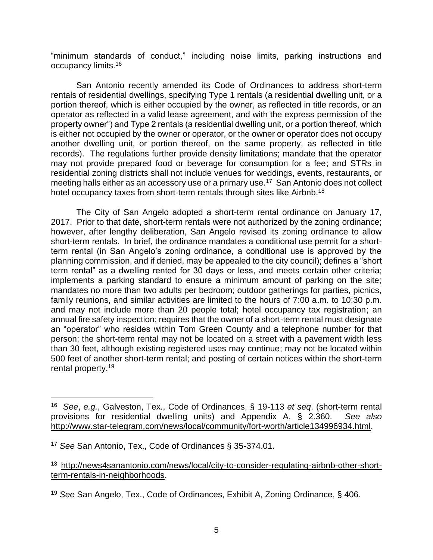"minimum standards of conduct," including noise limits, parking instructions and occupancy limits.<sup>16</sup>

San Antonio recently amended its Code of Ordinances to address short-term rentals of residential dwellings, specifying Type 1 rentals (a residential dwelling unit, or a portion thereof, which is either occupied by the owner, as reflected in title records, or an operator as reflected in a valid lease agreement, and with the express permission of the property owner") and Type 2 rentals (a residential dwelling unit, or a portion thereof, which is either not occupied by the owner or operator, or the owner or operator does not occupy another dwelling unit, or portion thereof, on the same property, as reflected in title records). The regulations further provide density limitations; mandate that the operator may not provide prepared food or beverage for consumption for a fee; and STRs in residential zoning districts shall not include venues for weddings, events, restaurants, or meeting halls either as an accessory use or a primary use.<sup>17</sup> San Antonio does not collect hotel occupancy taxes from short-term rentals through sites like Airbnb.<sup>18</sup>

The City of San Angelo adopted a short-term rental ordinance on January 17, 2017. Prior to that date, short-term rentals were not authorized by the zoning ordinance; however, after lengthy deliberation, San Angelo revised its zoning ordinance to allow short-term rentals. In brief, the ordinance mandates a conditional use permit for a shortterm rental (in San Angelo's zoning ordinance, a conditional use is approved by the planning commission, and if denied, may be appealed to the city council); defines a "short term rental" as a dwelling rented for 30 days or less, and meets certain other criteria; implements a parking standard to ensure a minimum amount of parking on the site; mandates no more than two adults per bedroom; outdoor gatherings for parties, picnics, family reunions, and similar activities are limited to the hours of 7:00 a.m. to 10:30 p.m. and may not include more than 20 people total; hotel occupancy tax registration; an annual fire safety inspection; requires that the owner of a short-term rental must designate an "operator" who resides within Tom Green County and a telephone number for that person; the short-term rental may not be located on a street with a pavement width less than 30 feet, although existing registered uses may continue; may not be located within 500 feet of another short-term rental; and posting of certain notices within the short-term rental property. 19

<sup>16</sup> *See*, *e.g.*, Galveston, Tex., Code of Ordinances, § 19-113 *et seq*. (short-term rental provisions for residential dwelling units) and Appendix A, § 2.360. *See also* [http://www.star-telegram.com/news/local/community/fort-worth/article134996934.html.](http://www.star-telegram.com/news/local/community/fort-worth/article134996934.html)

<sup>17</sup> *See* San Antonio, Tex., Code of Ordinances § 35-374.01.

<sup>18</sup> [http://news4sanantonio.com/news/local/city-to-consider-regulating-airbnb-other-short](http://news4sanantonio.com/news/local/city-to-consider-regulating-airbnb-other-short-term-rentals-in-neighborhoods)[term-rentals-in-neighborhoods.](http://news4sanantonio.com/news/local/city-to-consider-regulating-airbnb-other-short-term-rentals-in-neighborhoods)

<sup>19</sup> *See* San Angelo, Tex., Code of Ordinances, Exhibit A, Zoning Ordinance, § 406.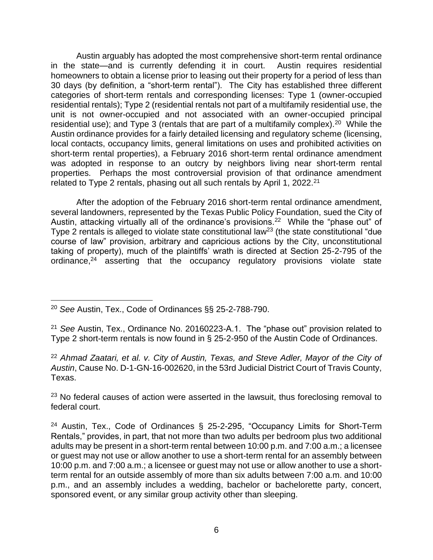Austin arguably has adopted the most comprehensive short-term rental ordinance in the state—and is currently defending it in court. Austin requires residential homeowners to obtain a license prior to leasing out their property for a period of less than 30 days (by definition, a "short-term rental"). The City has established three different categories of short-term rentals and corresponding licenses: Type 1 (owner-occupied residential rentals); Type 2 (residential rentals not part of a multifamily residential use, the unit is not owner-occupied and not associated with an owner-occupied principal residential use); and Type 3 (rentals that are part of a multifamily complex).<sup>20</sup> While the Austin ordinance provides for a fairly detailed licensing and regulatory scheme (licensing, local contacts, occupancy limits, general limitations on uses and prohibited activities on short-term rental properties), a February 2016 short-term rental ordinance amendment was adopted in response to an outcry by neighbors living near short-term rental properties. Perhaps the most controversial provision of that ordinance amendment related to Type 2 rentals, phasing out all such rentals by April 1, 2022.<sup>21</sup>

After the adoption of the February 2016 short-term rental ordinance amendment, several landowners, represented by the Texas Public Policy Foundation, sued the City of Austin, attacking virtually all of the ordinance's provisions.<sup>22</sup> While the "phase out" of Type 2 rentals is alleged to violate state constitutional law<sup>23</sup> (the state constitutional "due course of law" provision, arbitrary and capricious actions by the City, unconstitutional taking of property), much of the plaintiffs' wrath is directed at Section 25-2-795 of the ordinance, $24$  asserting that the occupancy regulatory provisions violate state

<sup>23</sup> No federal causes of action were asserted in the lawsuit, thus foreclosing removal to federal court.

<sup>20</sup> *See* Austin, Tex., Code of Ordinances §§ 25-2-788-790.

<sup>21</sup> *See* Austin, Tex., Ordinance No. 20160223-A.1. The "phase out" provision related to Type 2 short-term rentals is now found in § 25-2-950 of the Austin Code of Ordinances.

<sup>22</sup> *Ahmad Zaatari, et al. v. City of Austin, Texas, and Steve Adler, Mayor of the City of Austin*, Cause No. D-1-GN-16-002620, in the 53rd Judicial District Court of Travis County, Texas.

<sup>24</sup> Austin, Tex., Code of Ordinances § 25-2-295, "Occupancy Limits for Short-Term Rentals," provides, in part, that not more than two adults per bedroom plus two additional adults may be present in a short-term rental between 10:00 p.m. and 7:00 a.m.; a licensee or guest may not use or allow another to use a short-term rental for an assembly between 10:00 p.m. and 7:00 a.m.; a licensee or guest may not use or allow another to use a shortterm rental for an outside assembly of more than six adults between 7:00 a.m. and 10:00 p.m., and an assembly includes a wedding, bachelor or bachelorette party, concert, sponsored event, or any similar group activity other than sleeping.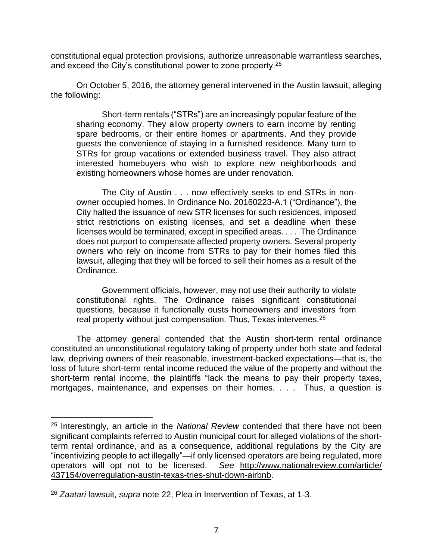constitutional equal protection provisions, authorize unreasonable warrantless searches, and exceed the City's constitutional power to zone property.<sup>25</sup>

On October 5, 2016, the attorney general intervened in the Austin lawsuit, alleging the following:

Short-term rentals ("STRs") are an increasingly popular feature of the sharing economy. They allow property owners to earn income by renting spare bedrooms, or their entire homes or apartments. And they provide guests the convenience of staying in a furnished residence. Many turn to STRs for group vacations or extended business travel. They also attract interested homebuyers who wish to explore new neighborhoods and existing homeowners whose homes are under renovation.

The City of Austin . . . now effectively seeks to end STRs in nonowner occupied homes. In Ordinance No. 20160223-A.1 ("Ordinance"), the City halted the issuance of new STR licenses for such residences, imposed strict restrictions on existing licenses, and set a deadline when these licenses would be terminated, except in specified areas. . . . The Ordinance does not purport to compensate affected property owners. Several property owners who rely on income from STRs to pay for their homes filed this lawsuit, alleging that they will be forced to sell their homes as a result of the Ordinance.

Government officials, however, may not use their authority to violate constitutional rights. The Ordinance raises significant constitutional questions, because it functionally ousts homeowners and investors from real property without just compensation. Thus, Texas intervenes.<sup>26</sup>

The attorney general contended that the Austin short-term rental ordinance constituted an unconstitutional regulatory taking of property under both state and federal law, depriving owners of their reasonable, investment-backed expectations—that is, the loss of future short-term rental income reduced the value of the property and without the short-term rental income, the plaintiffs "lack the means to pay their property taxes, mortgages, maintenance, and expenses on their homes. . . . Thus, a question is

<sup>25</sup> Interestingly, an article in the *National Review* contended that there have not been significant complaints referred to Austin municipal court for alleged violations of the shortterm rental ordinance, and as a consequence, additional regulations by the City are "incentivizing people to act illegally"—if only licensed operators are being regulated, more operators will opt not to be licensed. *See* [http://www.nationalreview.com/article/](http://www.nationalreview.com/article/%20437154/overregulation-austin-texas-tries-shut-down-airbnb)  [437154/overregulation-austin-texas-tries-shut-down-airbnb.](http://www.nationalreview.com/article/%20437154/overregulation-austin-texas-tries-shut-down-airbnb)

<sup>26</sup> *Zaatari* lawsuit, *supra* note 22, Plea in Intervention of Texas, at 1-3.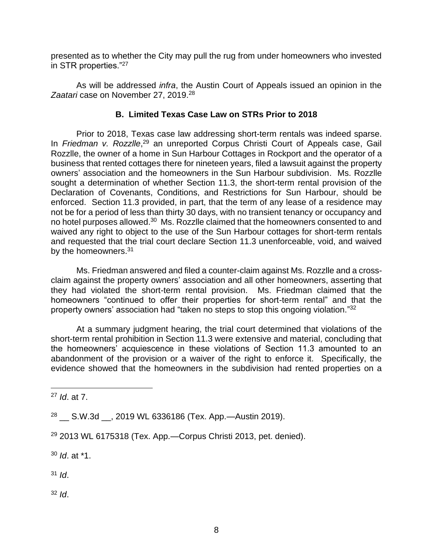presented as to whether the City may pull the rug from under homeowners who invested in STR properties."<sup>27</sup>

As will be addressed *infra*, the Austin Court of Appeals issued an opinion in the Zaatari case on November 27, 2019.<sup>28</sup>

# **B. Limited Texas Case Law on STRs Prior to 2018**

Prior to 2018, Texas case law addressing short-term rentals was indeed sparse. In Friedman v. Rozzlle,<sup>29</sup> an unreported Corpus Christi Court of Appeals case, Gail Rozzlle, the owner of a home in Sun Harbour Cottages in Rockport and the operator of a business that rented cottages there for nineteen years, filed a lawsuit against the property owners' association and the homeowners in the Sun Harbour subdivision. Ms. Rozzlle sought a determination of whether Section 11.3, the short-term rental provision of the Declaration of Covenants, Conditions, and Restrictions for Sun Harbour, should be enforced. Section 11.3 provided, in part, that the term of any lease of a residence may not be for a period of less than thirty 30 days, with no transient tenancy or occupancy and no hotel purposes allowed.<sup>30</sup> Ms. Rozzlle claimed that the homeowners consented to and waived any right to object to the use of the Sun Harbour cottages for short-term rentals and requested that the trial court declare Section 11.3 unenforceable, void, and waived by the homeowners.<sup>31</sup>

Ms. Friedman answered and filed a counter-claim against Ms. Rozzlle and a crossclaim against the property owners' association and all other homeowners, asserting that they had violated the short-term rental provision. Ms. Friedman claimed that the homeowners "continued to offer their properties for short-term rental" and that the property owners' association had "taken no steps to stop this ongoing violation."32

At a summary judgment hearing, the trial court determined that violations of the short-term rental prohibition in Section 11.3 were extensive and material, concluding that the homeowners' acquiescence in these violations of Section 11.3 amounted to an abandonment of the provision or a waiver of the right to enforce it. Specifically, the evidence showed that the homeowners in the subdivision had rented properties on a

<sup>30</sup> *Id*. at \*1.

<sup>31</sup> *Id*.

<sup>32</sup> *Id*.

<sup>27</sup> *Id*. at 7.

<sup>28</sup> \_\_ S.W.3d \_\_, 2019 WL 6336186 (Tex. App.—Austin 2019).

 $29$  2013 WL 6175318 (Tex. App.—Corpus Christi 2013, pet. denied).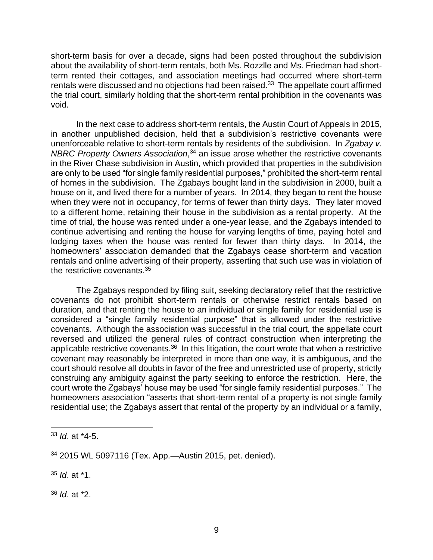short-term basis for over a decade, signs had been posted throughout the subdivision about the availability of short-term rentals, both Ms. Rozzlle and Ms. Friedman had shortterm rented their cottages, and association meetings had occurred where short-term rentals were discussed and no objections had been raised.<sup>33</sup> The appellate court affirmed the trial court, similarly holding that the short-term rental prohibition in the covenants was void.

In the next case to address short-term rentals, the Austin Court of Appeals in 2015, in another unpublished decision, held that a subdivision's restrictive covenants were unenforceable relative to short-term rentals by residents of the subdivision. In *Zgabay v. NBRC Property Owners Association*, <sup>34</sup> an issue arose whether the restrictive covenants in the River Chase subdivision in Austin, which provided that properties in the subdivision are only to be used "for single family residential purposes," prohibited the short-term rental of homes in the subdivision. The Zgabays bought land in the subdivision in 2000, built a house on it, and lived there for a number of years. In 2014, they began to rent the house when they were not in occupancy, for terms of fewer than thirty days. They later moved to a different home, retaining their house in the subdivision as a rental property. At the time of trial, the house was rented under a one-year lease, and the Zgabays intended to continue advertising and renting the house for varying lengths of time, paying hotel and lodging taxes when the house was rented for fewer than thirty days. In 2014, the homeowners' association demanded that the Zgabays cease short-term and vacation rentals and online advertising of their property, asserting that such use was in violation of the restrictive covenants.<sup>35</sup>

The Zgabays responded by filing suit, seeking declaratory relief that the restrictive covenants do not prohibit short-term rentals or otherwise restrict rentals based on duration, and that renting the house to an individual or single family for residential use is considered a "single family residential purpose" that is allowed under the restrictive covenants. Although the association was successful in the trial court, the appellate court reversed and utilized the general rules of contract construction when interpreting the applicable restrictive covenants.<sup>36</sup> In this litigation, the court wrote that when a restrictive covenant may reasonably be interpreted in more than one way, it is ambiguous, and the court should resolve all doubts in favor of the free and unrestricted use of property, strictly construing any ambiguity against the party seeking to enforce the restriction. Here, the court wrote the Zgabays' house may be used "for single family residential purposes." The homeowners association "asserts that short-term rental of a property is not single family residential use; the Zgabays assert that rental of the property by an individual or a family,

<sup>35</sup> *Id*. at \*1.

<sup>36</sup> *Id*. at \*2.

<sup>33</sup> *Id*. at \*4-5.

<sup>34</sup> 2015 WL 5097116 (Tex. App.—Austin 2015, pet. denied).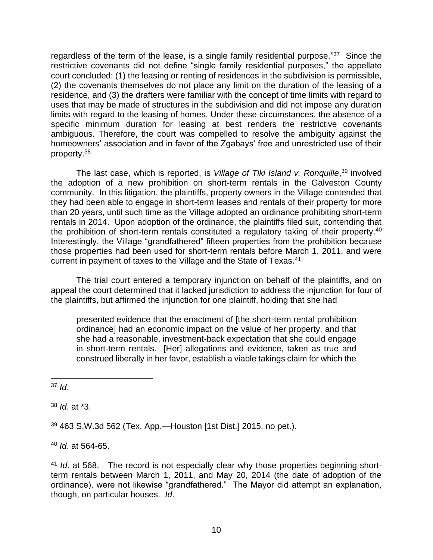regardless of the term of the lease, is a single family residential purpose."<sup>37</sup> Since the restrictive covenants did not define "single family residential purposes," the appellate court concluded: (1) the leasing or renting of residences in the subdivision is permissible, (2) the covenants themselves do not place any limit on the duration of the leasing of a residence, and (3) the drafters were familiar with the concept of time limits with regard to uses that may be made of structures in the subdivision and did not impose any duration limits with regard to the leasing of homes. Under these circumstances, the absence of a specific minimum duration for leasing at best renders the restrictive covenants ambiguous. Therefore, the court was compelled to resolve the ambiguity against the homeowners' association and in favor of the Zgabays' free and unrestricted use of their property.<sup>38</sup>

The last case, which is reported, is *Village of Tiki Island v. Ronquille*, <sup>39</sup> involved the adoption of a new prohibition on short-term rentals in the Galveston County community. In this litigation, the plaintiffs, property owners in the Village contended that they had been able to engage in short-term leases and rentals of their property for more than 20 years, until such time as the Village adopted an ordinance prohibiting short-term rentals in 2014. Upon adoption of the ordinance, the plaintiffs filed suit, contending that the prohibition of short-term rentals constituted a regulatory taking of their property.<sup>40</sup> Interestingly, the Village "grandfathered" fifteen properties from the prohibition because those properties had been used for short-term rentals before March 1, 2011, and were current in payment of taxes to the Village and the State of Texas.<sup>41</sup>

The trial court entered a temporary injunction on behalf of the plaintiffs, and on appeal the court determined that it lacked jurisdiction to address the injunction for four of the plaintiffs, but affirmed the injunction for one plaintiff, holding that she had

presented evidence that the enactment of [the short-term rental prohibition ordinance] had an economic impact on the value of her property, and that she had a reasonable, investment-back expectation that she could engage in short-term rentals. [Her] allegations and evidence, taken as true and construed liberally in her favor, establish a viable takings claim for which the

<sup>37</sup> *Id*.

<sup>38</sup> *Id*. at \*3.

<sup>39</sup> 463 S.W.3d 562 (Tex. App.—Houston [1st Dist.] 2015, no pet.).

<sup>40</sup> *Id*. at 564-65.

<sup>41</sup> *Id*. at 568. The record is not especially clear why those properties beginning shortterm rentals between March 1, 2011, and May 20, 2014 (the date of adoption of the ordinance), were not likewise "grandfathered." The Mayor did attempt an explanation, though, on particular houses. *Id*.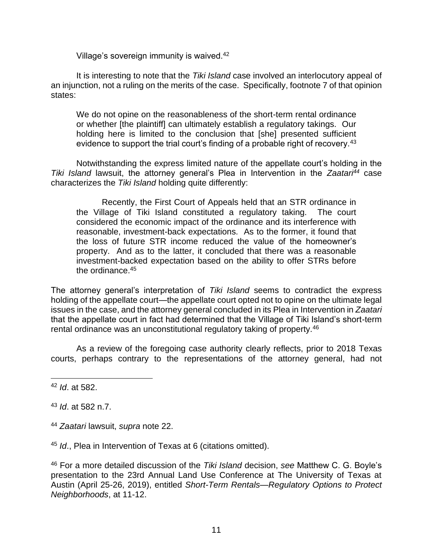Village's sovereign immunity is waived.<sup>42</sup>

It is interesting to note that the *Tiki Island* case involved an interlocutory appeal of an injunction, not a ruling on the merits of the case. Specifically, footnote 7 of that opinion states:

We do not opine on the reasonableness of the short-term rental ordinance or whether [the plaintiff] can ultimately establish a regulatory takings. Our holding here is limited to the conclusion that [she] presented sufficient evidence to support the trial court's finding of a probable right of recovery.<sup>43</sup>

Notwithstanding the express limited nature of the appellate court's holding in the *Tiki Island* lawsuit, the attorney general's Plea in Intervention in the *Zaatari<sup>44</sup>* case characterizes the *Tiki Island* holding quite differently:

Recently, the First Court of Appeals held that an STR ordinance in the Village of Tiki Island constituted a regulatory taking. The court considered the economic impact of the ordinance and its interference with reasonable, investment-back expectations. As to the former, it found that the loss of future STR income reduced the value of the homeowner's property. And as to the latter, it concluded that there was a reasonable investment-backed expectation based on the ability to offer STRs before the ordinance.<sup>45</sup>

The attorney general's interpretation of *Tiki Island* seems to contradict the express holding of the appellate court—the appellate court opted not to opine on the ultimate legal issues in the case, and the attorney general concluded in its Plea in Intervention in *Zaatari* that the appellate court in fact had determined that the Village of Tiki Island's short-term rental ordinance was an unconstitutional regulatory taking of property.<sup>46</sup>

As a review of the foregoing case authority clearly reflects, prior to 2018 Texas courts, perhaps contrary to the representations of the attorney general, had not

<sup>43</sup> *Id*. at 582 n.7.

<sup>44</sup> *Zaatari* lawsuit, *supra* note 22.

<sup>45</sup> *Id*., Plea in Intervention of Texas at 6 (citations omitted).

<sup>46</sup> For a more detailed discussion of the *Tiki Island* decision, *see* Matthew C. G. Boyle's presentation to the 23rd Annual Land Use Conference at The University of Texas at Austin (April 25-26, 2019), entitled *Short-Term Rentals—Regulatory Options to Protect Neighborhoods*, at 11-12.

<sup>42</sup> *Id*. at 582.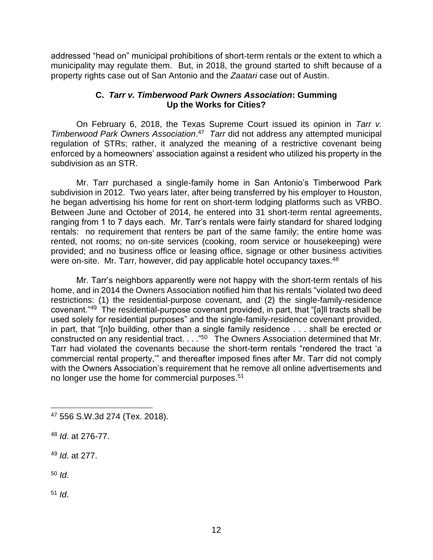addressed "head on" municipal prohibitions of short-term rentals or the extent to which a municipality may regulate them. But, in 2018, the ground started to shift because of a property rights case out of San Antonio and the *Zaatari* case out of Austin.

# **C.** *Tarr v. Timberwood Park Owners Association***: Gumming Up the Works for Cities?**

On February 6, 2018, the Texas Supreme Court issued its opinion in *Tarr v. Timberwood Park Owners Association*. 47 *Tarr* did not address any attempted municipal regulation of STRs; rather, it analyzed the meaning of a restrictive covenant being enforced by a homeowners' association against a resident who utilized his property in the subdivision as an STR.

Mr. Tarr purchased a single-family home in San Antonio's Timberwood Park subdivision in 2012. Two years later, after being transferred by his employer to Houston, he began advertising his home for rent on short-term lodging platforms such as VRBO. Between June and October of 2014, he entered into 31 short-term rental agreements, ranging from 1 to 7 days each. Mr. Tarr's rentals were fairly standard for shared lodging rentals: no requirement that renters be part of the same family; the entire home was rented, not rooms; no on-site services (cooking, room service or housekeeping) were provided; and no business office or leasing office, signage or other business activities were on-site. Mr. Tarr, however, did pay applicable hotel occupancy taxes.<sup>48</sup>

Mr. Tarr's neighbors apparently were not happy with the short-term rentals of his home, and in 2014 the Owners Association notified him that his rentals "violated two deed restrictions: (1) the residential-purpose covenant, and (2) the single-family-residence covenant."<sup>49</sup> The residential-purpose covenant provided, in part, that "[a]ll tracts shall be used solely for residential purposes" and the single-family-residence covenant provided, in part, that "[n]o building, other than a single family residence . . . shall be erected or constructed on any residential tract. . . . "<sup>50</sup> The Owners Association determined that Mr. Tarr had violated the covenants because the short-term rentals "rendered the tract 'a commercial rental property,'" and thereafter imposed fines after Mr. Tarr did not comply with the Owners Association's requirement that he remove all online advertisements and no longer use the home for commercial purposes.<sup>51</sup>

<sup>51</sup> *Id*.

<sup>47</sup> 556 S.W.3d 274 (Tex. 2018).

<sup>48</sup> *Id*. at 276-77.

<sup>49</sup> *Id*. at 277.

<sup>50</sup> *Id*.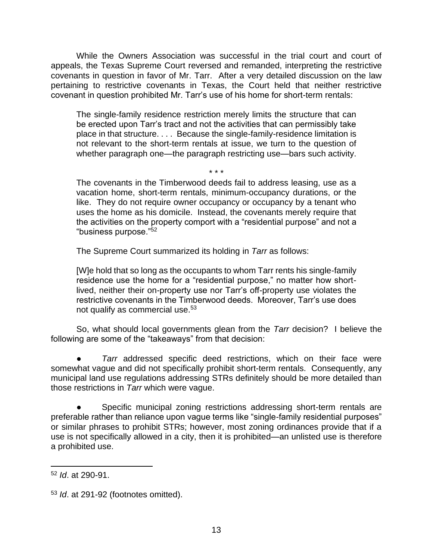While the Owners Association was successful in the trial court and court of appeals, the Texas Supreme Court reversed and remanded, interpreting the restrictive covenants in question in favor of Mr. Tarr. After a very detailed discussion on the law pertaining to restrictive covenants in Texas, the Court held that neither restrictive covenant in question prohibited Mr. Tarr's use of his home for short-term rentals:

The single-family residence restriction merely limits the structure that can be erected upon Tarr's tract and not the activities that can permissibly take place in that structure. . . . Because the single-family-residence limitation is not relevant to the short-term rentals at issue, we turn to the question of whether paragraph one—the paragraph restricting use—bars such activity.

\* \* \*

The covenants in the Timberwood deeds fail to address leasing, use as a vacation home, short-term rentals, minimum-occupancy durations, or the like. They do not require owner occupancy or occupancy by a tenant who uses the home as his domicile. Instead, the covenants merely require that the activities on the property comport with a "residential purpose" and not a "business purpose."<sup>52</sup>

The Supreme Court summarized its holding in *Tarr* as follows:

[W]e hold that so long as the occupants to whom Tarr rents his single-family residence use the home for a "residential purpose," no matter how shortlived, neither their on-property use nor Tarr's off-property use violates the restrictive covenants in the Timberwood deeds. Moreover, Tarr's use does not qualify as commercial use.<sup>53</sup>

So, what should local governments glean from the *Tarr* decision? I believe the following are some of the "takeaways" from that decision:

Tarr addressed specific deed restrictions, which on their face were somewhat vague and did not specifically prohibit short-term rentals. Consequently, any municipal land use regulations addressing STRs definitely should be more detailed than those restrictions in *Tarr* which were vague.

Specific municipal zoning restrictions addressing short-term rentals are preferable rather than reliance upon vague terms like "single-family residential purposes" or similar phrases to prohibit STRs; however, most zoning ordinances provide that if a use is not specifically allowed in a city, then it is prohibited—an unlisted use is therefore a prohibited use.

<sup>52</sup> *Id*. at 290-91.

<sup>53</sup> *Id*. at 291-92 (footnotes omitted).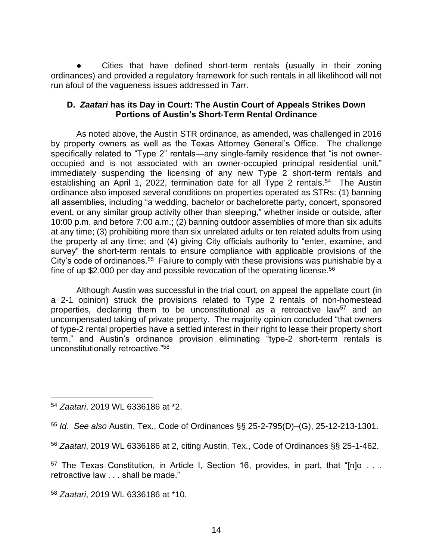Cities that have defined short-term rentals (usually in their zoning ordinances) and provided a regulatory framework for such rentals in all likelihood will not run afoul of the vagueness issues addressed in *Tarr*.

### **D.** *Zaatari* **has its Day in Court: The Austin Court of Appeals Strikes Down Portions of Austin's Short-Term Rental Ordinance**

As noted above, the Austin STR ordinance, as amended, was challenged in 2016 by property owners as well as the Texas Attorney General's Office. The challenge specifically related to "Type 2" rentals—any single-family residence that "is not owneroccupied and is not associated with an owner-occupied principal residential unit," immediately suspending the licensing of any new Type 2 short-term rentals and establishing an April 1, 2022, termination date for all Type 2 rentals.<sup>54</sup> The Austin ordinance also imposed several conditions on properties operated as STRs: (1) banning all assemblies, including "a wedding, bachelor or bachelorette party, concert, sponsored event, or any similar group activity other than sleeping," whether inside or outside, after 10:00 p.m. and before 7:00 a.m.; (2) banning outdoor assemblies of more than six adults at any time; (3) prohibiting more than six unrelated adults or ten related adults from using the property at any time; and (4) giving City officials authority to "enter, examine, and survey" the short-term rentals to ensure compliance with applicable provisions of the City's code of ordinances.<sup>55</sup> Failure to comply with these provisions was punishable by a fine of up \$2,000 per day and possible revocation of the operating license.<sup>56</sup>

Although Austin was successful in the trial court, on appeal the appellate court (in a 2-1 opinion) struck the provisions related to Type 2 rentals of non-homestead properties, declaring them to be unconstitutional as a retroactive law<sup>57</sup> and an uncompensated taking of private property. The majority opinion concluded "that owners of type-2 rental properties have a settled interest in their right to lease their property short term," and Austin's ordinance provision eliminating "type-2 short-term rentals is unconstitutionally retroactive."<sup>58</sup>

<sup>58</sup> *Zaatari*, 2019 WL 6336186 at \*10.

<sup>54</sup> *Zaatari*, 2019 WL 6336186 at \*2.

<sup>55</sup> *Id*. *See also* Austin, Tex., Code of Ordinances §§ 25-2-795(D)–(G), 25-12-213-1301.

<sup>56</sup> *Zaatari*, 2019 WL 6336186 at 2, citing Austin, Tex., Code of Ordinances §§ 25-1-462.

<sup>57</sup> The Texas Constitution, in Article I, Section 16, provides, in part, that "[n]o . . . retroactive law . . . shall be made."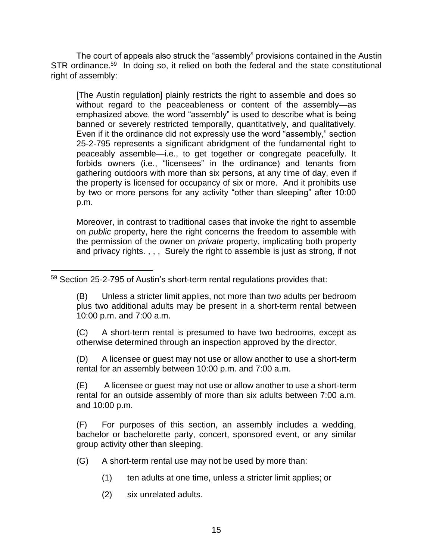The court of appeals also struck the "assembly" provisions contained in the Austin STR ordinance.<sup>59</sup> In doing so, it relied on both the federal and the state constitutional right of assembly:

[The Austin regulation] plainly restricts the right to assemble and does so without regard to the peaceableness or content of the assembly—as emphasized above, the word "assembly" is used to describe what is being banned or severely restricted temporally, quantitatively, and qualitatively. Even if it the ordinance did not expressly use the word "assembly," section 25-2-795 represents a significant abridgment of the fundamental right to peaceably assemble—i.e., to get together or congregate peacefully. It forbids owners (i.e., "licensees" in the ordinance) and tenants from gathering outdoors with more than six persons, at any time of day, even if the property is licensed for occupancy of six or more. And it prohibits use by two or more persons for any activity "other than sleeping" after 10:00 p.m.

Moreover, in contrast to traditional cases that invoke the right to assemble on *public* property, here the right concerns the freedom to assemble with the permission of the owner on *private* property, implicating both property and privacy rights. , , , Surely the right to assemble is just as strong, if not

(B) Unless a stricter limit applies, not more than two adults per bedroom plus two additional adults may be present in a short-term rental between 10:00 p.m. and 7:00 a.m.

(C) A short-term rental is presumed to have two bedrooms, except as otherwise determined through an inspection approved by the director.

(D) A licensee or guest may not use or allow another to use a short-term rental for an assembly between 10:00 p.m. and 7:00 a.m.

(E) A licensee or guest may not use or allow another to use a short-term rental for an outside assembly of more than six adults between 7:00 a.m. and 10:00 p.m.

(F) For purposes of this section, an assembly includes a wedding, bachelor or bachelorette party, concert, sponsored event, or any similar group activity other than sleeping.

(G) A short-term rental use may not be used by more than:

- (1) ten adults at one time, unless a stricter limit applies; or
- (2) six unrelated adults.

<sup>59</sup> Section 25-2-795 of Austin's short-term rental regulations provides that: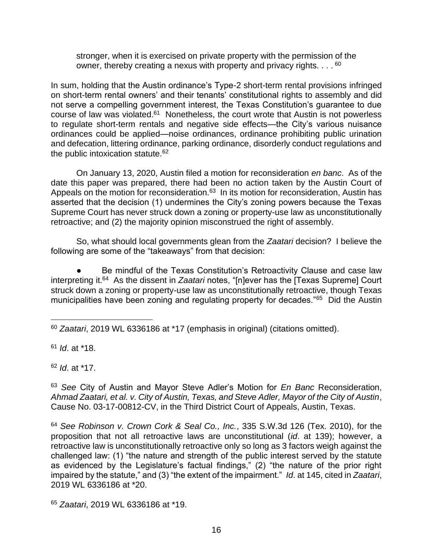stronger, when it is exercised on private property with the permission of the owner, thereby creating a nexus with property and privacy rights.  $\dots$ <sup>60</sup>

In sum, holding that the Austin ordinance's Type-2 short-term rental provisions infringed on short-term rental owners' and their tenants' constitutional rights to assembly and did not serve a compelling government interest, the Texas Constitution's guarantee to due course of law was violated.<sup>61</sup> Nonetheless, the court wrote that Austin is not powerless to regulate short-term rentals and negative side effects—the City's various nuisance ordinances could be applied—noise ordinances, ordinance prohibiting public urination and defecation, littering ordinance, parking ordinance, disorderly conduct regulations and the public intoxication statute.<sup>62</sup>

On January 13, 2020, Austin filed a motion for reconsideration *en banc*. As of the date this paper was prepared, there had been no action taken by the Austin Court of Appeals on the motion for reconsideration.<sup>63</sup> In its motion for reconsideration, Austin has asserted that the decision (1) undermines the City's zoning powers because the Texas Supreme Court has never struck down a zoning or property-use law as unconstitutionally retroactive; and (2) the majority opinion misconstrued the right of assembly.

So, what should local governments glean from the *Zaatari* decision? I believe the following are some of the "takeaways" from that decision:

Be mindful of the Texas Constitution's Retroactivity Clause and case law interpreting it. 64 As the dissent in *Zaatari* notes, "[n]ever has the [Texas Supreme] Court struck down a zoning or property-use law as unconstitutionally retroactive, though Texas municipalities have been zoning and regulating property for decades."<sup>65</sup> Did the Austin

<sup>61</sup> *Id*. at \*18.

<sup>62</sup> *Id*. at \*17.

<sup>63</sup> *See* City of Austin and Mayor Steve Adler's Motion for *En Banc* Reconsideration, *Ahmad Zaatari, et al. v. City of Austin, Texas, and Steve Adler, Mayor of the City of Austin*, Cause No. 03-17-00812-CV, in the Third District Court of Appeals, Austin, Texas.

<sup>64</sup> *See Robinson v. Crown Cork & Seal Co., Inc.*, 335 S.W.3d 126 (Tex. 2010), for the proposition that not all retroactive laws are unconstitutional (*id*. at 139); however, a retroactive law is unconstitutionally retroactive only so long as 3 factors weigh against the challenged law: (1) "the nature and strength of the public interest served by the statute as evidenced by the Legislature's factual findings," (2) "the nature of the prior right impaired by the statute," and (3) "the extent of the impairment." *Id*. at 145, cited in *Zaatari*, 2019 WL 6336186 at \*20.

<sup>60</sup> *Zaatari*, 2019 WL 6336186 at \*17 (emphasis in original) (citations omitted).

<sup>65</sup> *Zaatari*, 2019 WL 6336186 at \*19.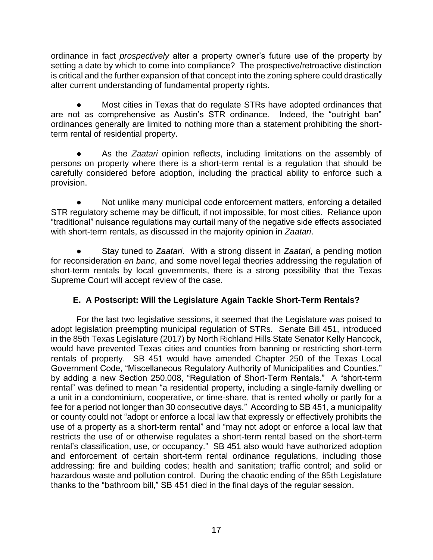ordinance in fact *prospectively* alter a property owner's future use of the property by setting a date by which to come into compliance? The prospective/retroactive distinction is critical and the further expansion of that concept into the zoning sphere could drastically alter current understanding of fundamental property rights.

Most cities in Texas that do regulate STRs have adopted ordinances that are not as comprehensive as Austin's STR ordinance. Indeed, the "outright ban" ordinances generally are limited to nothing more than a statement prohibiting the shortterm rental of residential property.

● As the *Zaatari* opinion reflects, including limitations on the assembly of persons on property where there is a short-term rental is a regulation that should be carefully considered before adoption, including the practical ability to enforce such a provision.

Not unlike many municipal code enforcement matters, enforcing a detailed STR regulatory scheme may be difficult, if not impossible, for most cities. Reliance upon "traditional" nuisance regulations may curtail many of the negative side effects associated with short-term rentals, as discussed in the majority opinion in *Zaatari*.

● Stay tuned to *Zaatari*. With a strong dissent in *Zaatari*, a pending motion for reconsideration *en banc*, and some novel legal theories addressing the regulation of short-term rentals by local governments, there is a strong possibility that the Texas Supreme Court will accept review of the case.

# **E. A Postscript: Will the Legislature Again Tackle Short-Term Rentals?**

For the last two legislative sessions, it seemed that the Legislature was poised to adopt legislation preempting municipal regulation of STRs. Senate Bill 451, introduced in the 85th Texas Legislature (2017) by North Richland Hills State Senator Kelly Hancock, would have prevented Texas cities and counties from banning or restricting short-term rentals of property. SB 451 would have amended Chapter 250 of the Texas Local Government Code, "Miscellaneous Regulatory Authority of Municipalities and Counties," by adding a new Section 250.008, "Regulation of Short-Term Rentals." A "short-term rental" was defined to mean "a residential property, including a single-family dwelling or a unit in a condominium, cooperative, or time-share, that is rented wholly or partly for a fee for a period not longer than 30 consecutive days." According to SB 451, a municipality or county could not "adopt or enforce a local law that expressly or effectively prohibits the use of a property as a short-term rental" and "may not adopt or enforce a local law that restricts the use of or otherwise regulates a short-term rental based on the short-term rental's classification, use, or occupancy." SB 451 also would have authorized adoption and enforcement of certain short-term rental ordinance regulations, including those addressing: fire and building codes; health and sanitation; traffic control; and solid or hazardous waste and pollution control. During the chaotic ending of the 85th Legislature thanks to the "bathroom bill," SB 451 died in the final days of the regular session.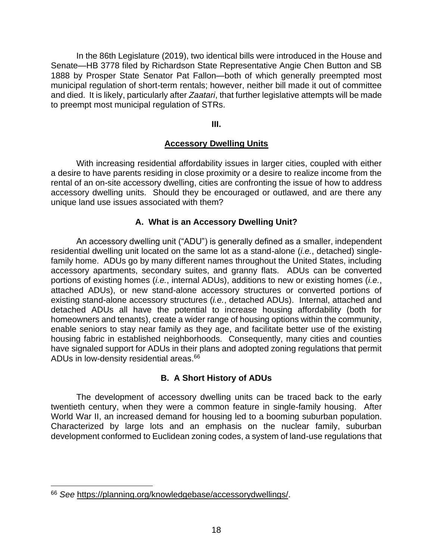In the 86th Legislature (2019), two identical bills were introduced in the House and Senate—HB 3778 filed by Richardson State Representative Angie Chen Button and SB 1888 by Prosper State Senator Pat Fallon—both of which generally preempted most municipal regulation of short-term rentals; however, neither bill made it out of committee and died. It is likely, particularly after *Zaatari*, that further legislative attempts will be made to preempt most municipal regulation of STRs.

**III.**

# **Accessory Dwelling Units**

With increasing residential affordability issues in larger cities, coupled with either a desire to have parents residing in close proximity or a desire to realize income from the rental of an on-site accessory dwelling, cities are confronting the issue of how to address accessory dwelling units. Should they be encouraged or outlawed, and are there any unique land use issues associated with them?

# **A. What is an Accessory Dwelling Unit?**

An accessory dwelling unit ("ADU") is generally defined as a smaller, independent residential dwelling unit located on the same lot as a stand-alone (*i.e.*, detached) singlefamily home. ADUs go by many different names throughout the United States, including accessory apartments, secondary suites, and granny flats. ADUs can be converted portions of existing homes (*i.e.*, internal ADUs), additions to new or existing homes (*i.e.*, attached ADUs), or new stand-alone accessory structures or converted portions of existing stand-alone accessory structures (*i.e.*, detached ADUs). Internal, attached and detached ADUs all have the potential to increase housing affordability (both for homeowners and tenants), create a wider range of housing options within the community, enable seniors to stay near family as they age, and facilitate better use of the existing housing fabric in established neighborhoods. Consequently, many cities and counties have signaled support for ADUs in their plans and adopted zoning regulations that permit ADUs in low-density residential areas.<sup>66</sup>

# **B. A Short History of ADUs**

The development of accessory dwelling units can be traced back to the early twentieth century, when they were a common feature in single-family housing. After World War II, an increased demand for housing led to a booming suburban population. Characterized by large lots and an emphasis on the nuclear family, suburban development conformed to Euclidean zoning codes, a system of land-use regulations that

<sup>66</sup> *See* [https://planning.org/knowledgebase/accessorydwellings/.](https://planning.org/knowledgebase/accessorydwellings/)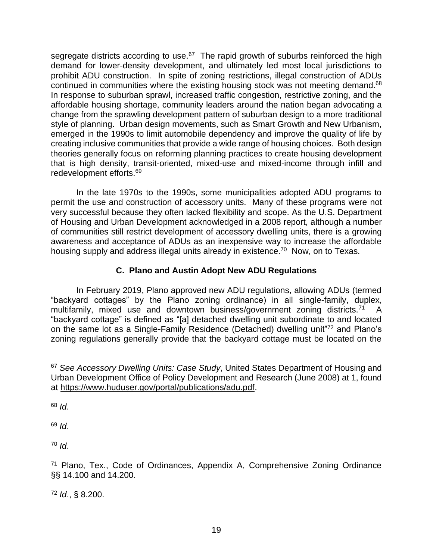segregate districts according to use.<sup>67</sup> The rapid growth of suburbs reinforced the high demand for lower-density development, and ultimately led most local jurisdictions to prohibit ADU construction. In spite of zoning restrictions, illegal construction of ADUs continued in communities where the existing housing stock was not meeting demand.<sup>68</sup> In response to suburban sprawl, increased traffic congestion, restrictive zoning, and the affordable housing shortage, community leaders around the nation began advocating a change from the sprawling development pattern of suburban design to a more traditional style of planning. Urban design movements, such as Smart Growth and New Urbanism, emerged in the 1990s to limit automobile dependency and improve the quality of life by creating inclusive communities that provide a wide range of housing choices. Both design theories generally focus on reforming planning practices to create housing development that is high density, transit-oriented, mixed-use and mixed-income through infill and redevelopment efforts.<sup>69</sup>

In the late 1970s to the 1990s, some municipalities adopted ADU programs to permit the use and construction of accessory units. Many of these programs were not very successful because they often lacked flexibility and scope. As the U.S. Department of Housing and Urban Development acknowledged in a 2008 report, although a number of communities still restrict development of accessory dwelling units, there is a growing awareness and acceptance of ADUs as an inexpensive way to increase the affordable housing supply and address illegal units already in existence.<sup>70</sup> Now, on to Texas.

# **C. Plano and Austin Adopt New ADU Regulations**

In February 2019, Plano approved new ADU regulations, allowing ADUs (termed "backyard cottages" by the Plano zoning ordinance) in all single-family, duplex, multifamily, mixed use and downtown business/government zoning districts.<sup>71</sup> A "backyard cottage" is defined as "[a] detached dwelling unit subordinate to and located on the same lot as a Single-Family Residence (Detached) dwelling unit"<sup>72</sup> and Plano's zoning regulations generally provide that the backyard cottage must be located on the

<sup>68</sup> *Id*.

<sup>69</sup> *Id*.

<sup>70</sup> *Id*.

<sup>72</sup> *Id*., § 8.200.

<sup>67</sup> *See Accessory Dwelling Units: Case Study*, United States Department of Housing and Urban Development Office of Policy Development and Research (June 2008) at 1, found at [https://www.huduser.gov/portal/publications/adu.pdf.](https://www.huduser.gov/portal/publications/adu.pdf)

<sup>71</sup> Plano, Tex., Code of Ordinances, Appendix A, Comprehensive Zoning Ordinance §§ 14.100 and 14.200.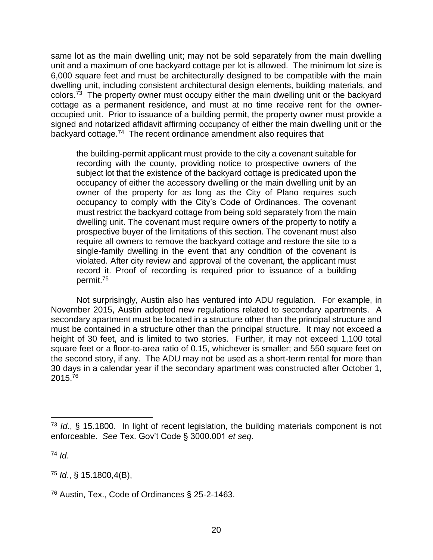same lot as the main dwelling unit; may not be sold separately from the main dwelling unit and a maximum of one backyard cottage per lot is allowed. The minimum lot size is 6,000 square feet and must be architecturally designed to be compatible with the main dwelling unit, including consistent architectural design elements, building materials, and colors.<sup>73</sup> The property owner must occupy either the main dwelling unit or the backyard cottage as a permanent residence, and must at no time receive rent for the owneroccupied unit. Prior to issuance of a building permit, the property owner must provide a signed and notarized affidavit affirming occupancy of either the main dwelling unit or the backyard cottage.<sup>74</sup> The recent ordinance amendment also requires that

the building-permit applicant must provide to the city a covenant suitable for recording with the county, providing notice to prospective owners of the subject lot that the existence of the backyard cottage is predicated upon the occupancy of either the accessory dwelling or the main dwelling unit by an owner of the property for as long as the City of Plano requires such occupancy to comply with the City's Code of Ordinances. The covenant must restrict the backyard cottage from being sold separately from the main dwelling unit. The covenant must require owners of the property to notify a prospective buyer of the limitations of this section. The covenant must also require all owners to remove the backyard cottage and restore the site to a single-family dwelling in the event that any condition of the covenant is violated. After city review and approval of the covenant, the applicant must record it. Proof of recording is required prior to issuance of a building permit.<sup>75</sup>

Not surprisingly, Austin also has ventured into ADU regulation. For example, in November 2015, Austin adopted new regulations related to secondary apartments. A secondary apartment must be located in a structure other than the principal structure and must be contained in a structure other than the principal structure. It may not exceed a height of 30 feet, and is limited to two stories. Further, it may not exceed 1,100 total square feet or a floor-to-area ratio of 0.15, whichever is smaller; and 550 square feet on the second story, if any. The ADU may not be used as a short-term rental for more than 30 days in a calendar year if the secondary apartment was constructed after October 1, 2015.<sup>76</sup>

<sup>74</sup> *Id*.

<sup>75</sup> *Id*., § 15.1800,4(B),

<sup>73</sup> *Id*., § 15.1800. In light of recent legislation, the building materials component is not enforceable. *See* Tex. Gov't Code § 3000.001 *et seq*.

<sup>76</sup> Austin, Tex., Code of Ordinances § 25-2-1463.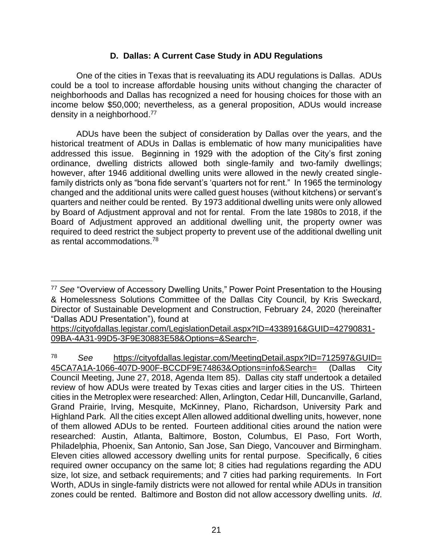# **D. Dallas: A Current Case Study in ADU Regulations**

One of the cities in Texas that is reevaluating its ADU regulations is Dallas. ADUs could be a tool to increase affordable housing units without changing the character of neighborhoods and Dallas has recognized a need for housing choices for those with an income below \$50,000; nevertheless, as a general proposition, ADUs would increase density in a neighborhood.<sup>77</sup>

ADUs have been the subject of consideration by Dallas over the years, and the historical treatment of ADUs in Dallas is emblematic of how many municipalities have addressed this issue. Beginning in 1929 with the adoption of the City's first zoning ordinance, dwelling districts allowed both single-family and two-family dwellings; however, after 1946 additional dwelling units were allowed in the newly created singlefamily districts only as "bona fide servant's 'quarters not for rent." In 1965 the terminology changed and the additional units were called guest houses (without kitchens) or servant's quarters and neither could be rented. By 1973 additional dwelling units were only allowed by Board of Adjustment approval and not for rental. From the late 1980s to 2018, if the Board of Adjustment approved an additional dwelling unit, the property owner was required to deed restrict the subject property to prevent use of the additional dwelling unit as rental accommodations.<sup>78</sup>

[https://cityofdallas.legistar.com/LegislationDetail.aspx?ID=4338916&GUID=42790831-](https://cityofdallas.legistar.com/LegislationDetail.aspx?ID=4338916&GUID=42790831-09BA-4A31-99D5-3F9E30883E58&Options=&Search=) [09BA-4A31-99D5-3F9E30883E58&Options=&Search=.](https://cityofdallas.legistar.com/LegislationDetail.aspx?ID=4338916&GUID=42790831-09BA-4A31-99D5-3F9E30883E58&Options=&Search=)

<sup>78</sup> *See* [https://cityofdallas.legistar.com/MeetingDetail.aspx?ID=712597&GUID=](https://cityofdallas.legistar.com/MeetingDetail.aspx?ID=712597&GUID=%2045CA7A1A-1066-407D-900F-BCCDF9E74863&Options=info&Search=)  [45CA7A1A-1066-407D-900F-BCCDF9E74863&Options=info&Search=](https://cityofdallas.legistar.com/MeetingDetail.aspx?ID=712597&GUID=%2045CA7A1A-1066-407D-900F-BCCDF9E74863&Options=info&Search=) (Dallas City Council Meeting, June 27, 2018, Agenda Item 85). Dallas city staff undertook a detailed review of how ADUs were treated by Texas cities and larger cities in the US. Thirteen cities in the Metroplex were researched: Allen, Arlington, Cedar Hill, Duncanville, Garland, Grand Prairie, Irving, Mesquite, McKinney, Plano, Richardson, University Park and Highland Park. All the cities except Allen allowed additional dwelling units, however, none of them allowed ADUs to be rented. Fourteen additional cities around the nation were researched: Austin, Atlanta, Baltimore, Boston, Columbus, El Paso, Fort Worth, Philadelphia, Phoenix, San Antonio, San Jose, San Diego, Vancouver and Birmingham. Eleven cities allowed accessory dwelling units for rental purpose. Specifically, 6 cities required owner occupancy on the same lot; 8 cities had regulations regarding the ADU size, lot size, and setback requirements; and 7 cities had parking requirements. In Fort Worth, ADUs in single-family districts were not allowed for rental while ADUs in transition zones could be rented. Baltimore and Boston did not allow accessory dwelling units. *Id*.

<sup>77</sup> *See* "Overview of Accessory Dwelling Units," Power Point Presentation to the Housing & Homelessness Solutions Committee of the Dallas City Council, by Kris Sweckard, Director of Sustainable Development and Construction, February 24, 2020 (hereinafter "Dallas ADU Presentation"), found at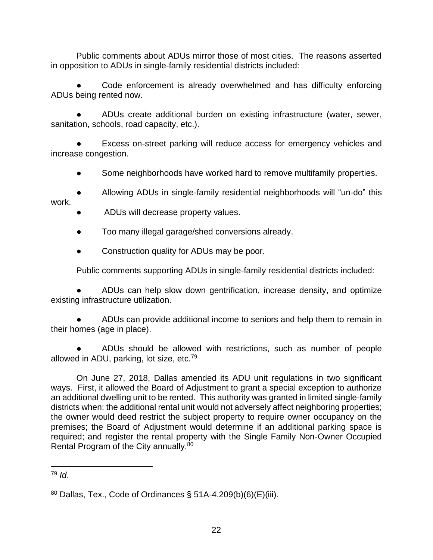Public comments about ADUs mirror those of most cities. The reasons asserted in opposition to ADUs in single-family residential districts included:

Code enforcement is already overwhelmed and has difficulty enforcing ADUs being rented now.

● ADUs create additional burden on existing infrastructure (water, sewer, sanitation, schools, road capacity, etc.).

Excess on-street parking will reduce access for emergency vehicles and increase congestion.

Some neighborhoods have worked hard to remove multifamily properties.

Allowing ADUs in single-family residential neighborhoods will "un-do" this work.

- ADUs will decrease property values.
- Too many illegal garage/shed conversions already.
- Construction quality for ADUs may be poor.

Public comments supporting ADUs in single-family residential districts included:

ADUs can help slow down gentrification, increase density, and optimize existing infrastructure utilization.

ADUs can provide additional income to seniors and help them to remain in their homes (age in place).

ADUs should be allowed with restrictions, such as number of people allowed in ADU, parking, lot size, etc.<sup>79</sup>

On June 27, 2018, Dallas amended its ADU unit regulations in two significant ways. First, it allowed the Board of Adjustment to grant a special exception to authorize an additional dwelling unit to be rented. This authority was granted in limited single-family districts when: the additional rental unit would not adversely affect neighboring properties; the owner would deed restrict the subject property to require owner occupancy on the premises; the Board of Adjustment would determine if an additional parking space is required; and register the rental property with the Single Family Non-Owner Occupied Rental Program of the City annually.<sup>80</sup>

<sup>79</sup> *Id*.

 $80$  Dallas, Tex., Code of Ordinances § 51A-4.209(b)(6)(E)(iii).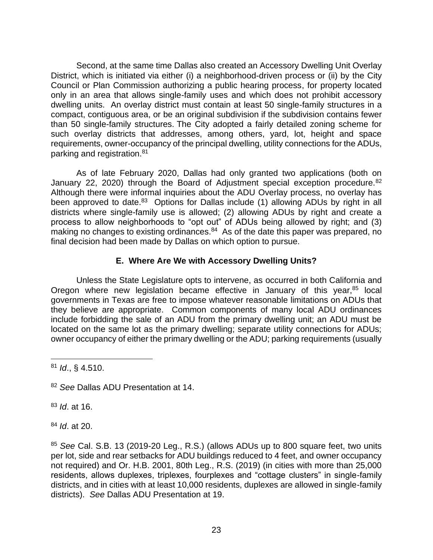Second, at the same time Dallas also created an Accessory Dwelling Unit Overlay District, which is initiated via either (i) a neighborhood-driven process or (ii) by the City Council or Plan Commission authorizing a public hearing process, for property located only in an area that allows single-family uses and which does not prohibit accessory dwelling units. An overlay district must contain at least 50 single-family structures in a compact, contiguous area, or be an original subdivision if the subdivision contains fewer than 50 single-family structures. The City adopted a fairly detailed zoning scheme for such overlay districts that addresses, among others, yard, lot, height and space requirements, owner-occupancy of the principal dwelling, utility connections for the ADUs, parking and registration.<sup>81</sup>

As of late February 2020, Dallas had only granted two applications (both on January 22, 2020) through the Board of Adjustment special exception procedure.<sup>82</sup> Although there were informal inquiries about the ADU Overlay process, no overlay has been approved to date.<sup>83</sup> Options for Dallas include (1) allowing ADUs by right in all districts where single-family use is allowed; (2) allowing ADUs by right and create a process to allow neighborhoods to "opt out" of ADUs being allowed by right; and (3) making no changes to existing ordinances.<sup>84</sup> As of the date this paper was prepared, no final decision had been made by Dallas on which option to pursue.

# **E. Where Are We with Accessory Dwelling Units?**

Unless the State Legislature opts to intervene, as occurred in both California and Oregon where new legislation became effective in January of this year,<sup>85</sup> local governments in Texas are free to impose whatever reasonable limitations on ADUs that they believe are appropriate. Common components of many local ADU ordinances include forbidding the sale of an ADU from the primary dwelling unit; an ADU must be located on the same lot as the primary dwelling; separate utility connections for ADUs; owner occupancy of either the primary dwelling or the ADU; parking requirements (usually

<sup>81</sup> *Id*., § 4.510.

<sup>83</sup> *Id*. at 16.

<sup>84</sup> *Id*. at 20.

<sup>85</sup> *See* Cal. S.B. 13 (2019-20 Leg., R.S.) (allows ADUs up to 800 square feet, two units per lot, side and rear setbacks for ADU buildings reduced to 4 feet, and owner occupancy not required) and Or. H.B. 2001, 80th Leg., R.S. (2019) (in cities with more than 25,000 residents, allows duplexes, triplexes, fourplexes and "cottage clusters" in single-family districts, and in cities with at least 10,000 residents, duplexes are allowed in single-family districts). *See* Dallas ADU Presentation at 19.

<sup>82</sup> *See* Dallas ADU Presentation at 14.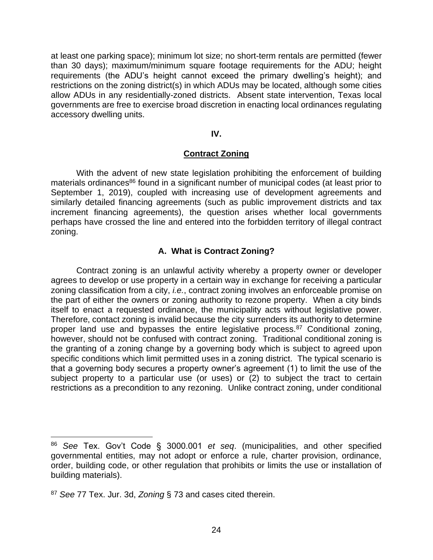at least one parking space); minimum lot size; no short-term rentals are permitted (fewer than 30 days); maximum/minimum square footage requirements for the ADU; height requirements (the ADU's height cannot exceed the primary dwelling's height); and restrictions on the zoning district(s) in which ADUs may be located, although some cities allow ADUs in any residentially-zoned districts. Absent state intervention, Texas local governments are free to exercise broad discretion in enacting local ordinances regulating accessory dwelling units.

#### **IV.**

### **Contract Zoning**

With the advent of new state legislation prohibiting the enforcement of building materials ordinances<sup>86</sup> found in a significant number of municipal codes (at least prior to September 1, 2019), coupled with increasing use of development agreements and similarly detailed financing agreements (such as public improvement districts and tax increment financing agreements), the question arises whether local governments perhaps have crossed the line and entered into the forbidden territory of illegal contract zoning.

# **A. What is Contract Zoning?**

Contract zoning is an unlawful activity whereby a property owner or developer agrees to develop or use property in a certain way in exchange for receiving a particular zoning classification from a city, *i.e.*, contract zoning involves an enforceable promise on the part of either the owners or zoning authority to rezone property. When a city binds itself to enact a requested ordinance, the municipality acts without legislative power. Therefore, contact zoning is invalid because the city surrenders its authority to determine proper land use and bypasses the entire legislative process.<sup>87</sup> Conditional zoning, however, should not be confused with contract zoning. Traditional conditional zoning is the granting of a zoning change by a governing body which is subject to agreed upon specific conditions which limit permitted uses in a zoning district. The typical scenario is that a governing body secures a property owner's agreement (1) to limit the use of the subject property to a particular use (or uses) or (2) to subject the tract to certain restrictions as a precondition to any rezoning. Unlike contract zoning, under conditional

<sup>86</sup> *See* Tex. Gov't Code § 3000.001 *et seq*. (municipalities, and other specified governmental entities, may not adopt or enforce a rule, charter provision, ordinance, order, building code, or other regulation that prohibits or limits the use or installation of building materials).

<sup>87</sup> *See* 77 Tex. Jur. 3d, *Zoning* § 73 and cases cited therein.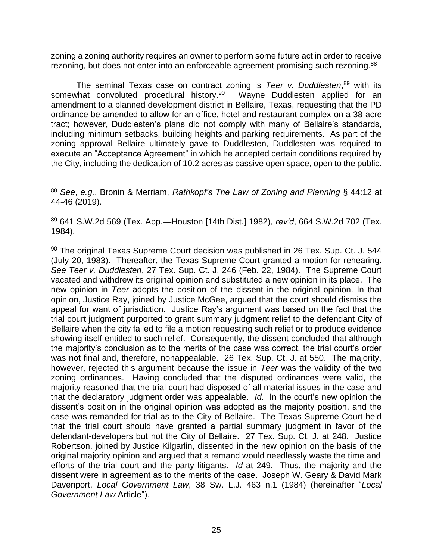zoning a zoning authority requires an owner to perform some future act in order to receive rezoning, but does not enter into an enforceable agreement promising such rezoning.<sup>88</sup>

The seminal Texas case on contract zoning is *Teer v. Duddlesten*, <sup>89</sup> with its somewhat convoluted procedural history.<sup>90</sup> Wayne Duddlesten applied for an amendment to a planned development district in Bellaire, Texas, requesting that the PD ordinance be amended to allow for an office, hotel and restaurant complex on a 38-acre tract; however, Duddlesten's plans did not comply with many of Bellaire's standards, including minimum setbacks, building heights and parking requirements. As part of the zoning approval Bellaire ultimately gave to Duddlesten, Duddlesten was required to execute an "Acceptance Agreement" in which he accepted certain conditions required by the City, including the dedication of 10.2 acres as passive open space, open to the public.

<sup>89</sup> 641 S.W.2d 569 (Tex. App.—Houston [14th Dist.] 1982), *rev'd*, 664 S.W.2d 702 (Tex. 1984).

 $90$  The original Texas Supreme Court decision was published in 26 Tex. Sup. Ct. J. 544 (July 20, 1983). Thereafter, the Texas Supreme Court granted a motion for rehearing. *See Teer v. Duddlesten*, 27 Tex. Sup. Ct. J. 246 (Feb. 22, 1984). The Supreme Court vacated and withdrew its original opinion and substituted a new opinion in its place. The new opinion in *Teer* adopts the position of the dissent in the original opinion. In that opinion, Justice Ray, joined by Justice McGee, argued that the court should dismiss the appeal for want of jurisdiction. Justice Ray's argument was based on the fact that the trial court judgment purported to grant summary judgment relief to the defendant City of Bellaire when the city failed to file a motion requesting such relief or to produce evidence showing itself entitled to such relief. Consequently, the dissent concluded that although the majority's conclusion as to the merits of the case was correct, the trial court's order was not final and, therefore, nonappealable. 26 Tex. Sup. Ct. J. at 550. The majority, however, rejected this argument because the issue in *Teer* was the validity of the two zoning ordinances. Having concluded that the disputed ordinances were valid, the majority reasoned that the trial court had disposed of all material issues in the case and that the declaratory judgment order was appealable. *Id.* In the court's new opinion the dissent's position in the original opinion was adopted as the majority position, and the case was remanded for trial as to the City of Bellaire. The Texas Supreme Court held that the trial court should have granted a partial summary judgment in favor of the defendant-developers but not the City of Bellaire. 27 Tex. Sup. Ct. J. at 248. Justice Robertson, joined by Justice Kilgarlin, dissented in the new opinion on the basis of the original majority opinion and argued that a remand would needlessly waste the time and efforts of the trial court and the party litigants. *Id* at 249. Thus, the majority and the dissent were in agreement as to the merits of the case. Joseph W. Geary & David Mark Davenport, *Local Government Law*, 38 Sw. L.J. 463 n.1 (1984) (hereinafter "*Local Government Law* Article").

<sup>88</sup> *See*, *e.g.*, Bronin & Merriam, *Rathkopf's The Law of Zoning and Planning* § 44:12 at 44-46 (2019).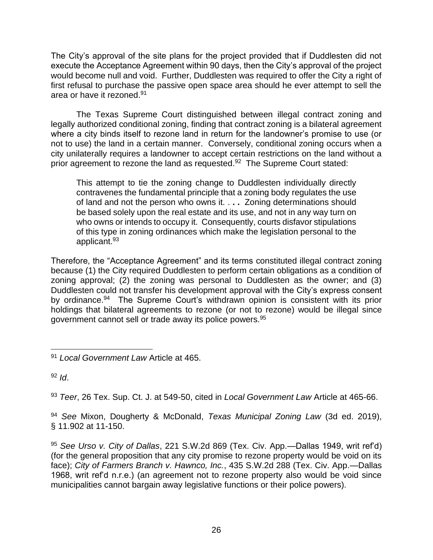The City's approval of the site plans for the project provided that if Duddlesten did not execute the Acceptance Agreement within 90 days, then the City's approval of the project would become null and void. Further, Duddlesten was required to offer the City a right of first refusal to purchase the passive open space area should he ever attempt to sell the area or have it rezoned.<sup>91</sup>

The Texas Supreme Court distinguished between illegal contract zoning and legally authorized conditional zoning, finding that contract zoning is a bilateral agreement where a city binds itself to rezone land in return for the landowner's promise to use (or not to use) the land in a certain manner. Conversely, conditional zoning occurs when a city unilaterally requires a landowner to accept certain restrictions on the land without a prior agreement to rezone the land as requested.<sup>92</sup> The Supreme Court stated:

This attempt to tie the zoning change to Duddlesten individually directly contravenes the fundamental principle that a zoning body regulates the use of land and not the person who owns it. . **. .** Zoning determinations should be based solely upon the real estate and its use, and not in any way turn on who owns or intends to occupy it. Consequently, courts disfavor stipulations of this type in zoning ordinances which make the legislation personal to the applicant.<sup>93</sup>

Therefore, the "Acceptance Agreement" and its terms constituted illegal contract zoning because (1) the City required Duddlesten to perform certain obligations as a condition of zoning approval; (2) the zoning was personal to Duddlesten as the owner; and (3) Duddlesten could not transfer his development approval with the City's express consent by ordinance.<sup>94</sup> The Supreme Court's withdrawn opinion is consistent with its prior holdings that bilateral agreements to rezone (or not to rezone) would be illegal since government cannot sell or trade away its police powers.<sup>95</sup>

<sup>92</sup> *Id*.

<sup>93</sup> *Teer*, 26 Tex. Sup. Ct. J. at 549-50, cited in *Local Government Law* Article at 465-66.

<sup>94</sup> *See* Mixon, Dougherty & McDonald, *Texas Municipal Zoning Law* (3d ed. 2019), § 11.902 at 11-150.

<sup>95</sup> *See Urso v. City of Dallas*, 221 S.W.2d 869 (Tex. Civ. App.—Dallas 1949, writ ref'd) (for the general proposition that any city promise to rezone property would be void on its face); *City of Farmers Branch v. Hawnco, Inc.*, 435 S.W.2d 288 (Tex. Civ. App.—Dallas 1968, writ ref'd n.r.e.) (an agreement not to rezone property also would be void since municipalities cannot bargain away legislative functions or their police powers).

<sup>91</sup> *Local Government Law* Article at 465.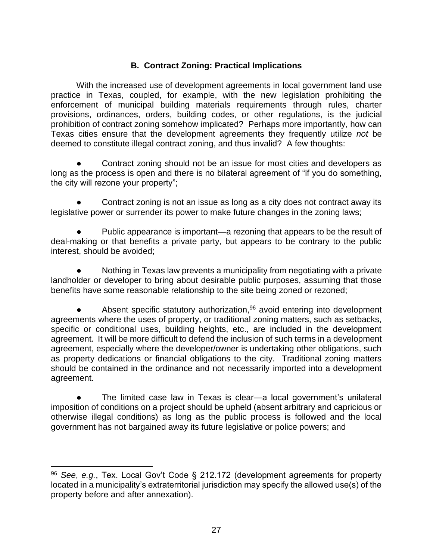# **B. Contract Zoning: Practical Implications**

With the increased use of development agreements in local government land use practice in Texas, coupled, for example, with the new legislation prohibiting the enforcement of municipal building materials requirements through rules, charter provisions, ordinances, orders, building codes, or other regulations, is the judicial prohibition of contract zoning somehow implicated? Perhaps more importantly, how can Texas cities ensure that the development agreements they frequently utilize *not* be deemed to constitute illegal contract zoning, and thus invalid? A few thoughts:

Contract zoning should not be an issue for most cities and developers as long as the process is open and there is no bilateral agreement of "if you do something, the city will rezone your property";

Contract zoning is not an issue as long as a city does not contract away its legislative power or surrender its power to make future changes in the zoning laws;

Public appearance is important—a rezoning that appears to be the result of deal-making or that benefits a private party, but appears to be contrary to the public interest, should be avoided;

Nothing in Texas law prevents a municipality from negotiating with a private landholder or developer to bring about desirable public purposes, assuming that those benefits have some reasonable relationship to the site being zoned or rezoned;

Absent specific statutory authorization, $96$  avoid entering into development agreements where the uses of property, or traditional zoning matters, such as setbacks, specific or conditional uses, building heights, etc., are included in the development agreement. It will be more difficult to defend the inclusion of such terms in a development agreement, especially where the developer/owner is undertaking other obligations, such as property dedications or financial obligations to the city. Traditional zoning matters should be contained in the ordinance and not necessarily imported into a development agreement.

The limited case law in Texas is clear—a local government's unilateral imposition of conditions on a project should be upheld (absent arbitrary and capricious or otherwise illegal conditions) as long as the public process is followed and the local government has not bargained away its future legislative or police powers; and

<sup>96</sup> *See*, *e.g.*, Tex. Local Gov't Code § 212.172 (development agreements for property located in a municipality's extraterritorial jurisdiction may specify the allowed use(s) of the property before and after annexation).